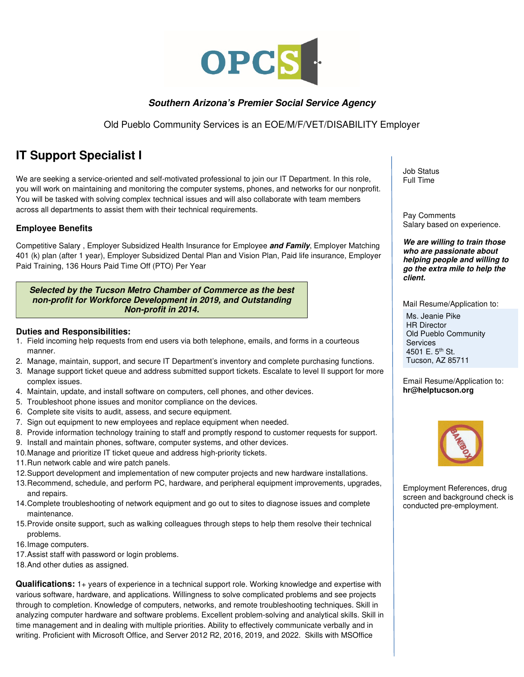

# **Southern Arizona's Premier Social Service Agency**

Old Pueblo Community Services is an EOE/M/F/VET/DISABILITY Employer

# **IT Support Specialist I**

We are seeking a service-oriented and self-motivated professional to join our IT Department. In this role, you will work on maintaining and monitoring the computer systems, phones, and networks for our nonprofit. You will be tasked with solving complex technical issues and will also collaborate with team members across all departments to assist them with their technical requirements.

## **Employee Benefits**

Competitive Salary , Employer Subsidized Health Insurance for Employee **and Family**, Employer Matching 401 (k) plan (after 1 year), Employer Subsidized Dental Plan and Vision Plan, Paid life insurance, Employer Paid Training, 136 Hours Paid Time Off (PTO) Per Year

#### **Selected by the Tucson Metro Chamber of Commerce as the best non-profit for Workforce Development in 2019, and Outstanding Non-profit in 2014.**

### **Duties and Responsibilities:**

- 1. Field incoming help requests from end users via both telephone, emails, and forms in a courteous manner.
- 2. Manage, maintain, support, and secure IT Department's inventory and complete purchasing functions.
- 3. Manage support ticket queue and address submitted support tickets. Escalate to level II support for more complex issues.
- 4. Maintain, update, and install software on computers, cell phones, and other devices.
- 5. Troubleshoot phone issues and monitor compliance on the devices.
- 6. Complete site visits to audit, assess, and secure equipment.
- 7. Sign out equipment to new employees and replace equipment when needed.
- 8. Provide information technology training to staff and promptly respond to customer requests for support.
- 9. Install and maintain phones, software, computer systems, and other devices.
- 10. Manage and prioritize IT ticket queue and address high-priority tickets.
- 11. Run network cable and wire patch panels.
- 12. Support development and implementation of new computer projects and new hardware installations.
- 13. Recommend, schedule, and perform PC, hardware, and peripheral equipment improvements, upgrades, and repairs.
- 14. Complete troubleshooting of network equipment and go out to sites to diagnose issues and complete maintenance.
- 15. Provide onsite support, such as walking colleagues through steps to help them resolve their technical problems.
- 16. Image computers.
- 17. Assist staff with password or login problems.
- 18. And other duties as assigned.

**Qualifications:** 1+ years of experience in a technical support role. Working knowledge and expertise with various software, hardware, and applications. Willingness to solve complicated problems and see projects through to completion. Knowledge of computers, networks, and remote troubleshooting techniques. Skill in analyzing computer hardware and software problems. Excellent problem-solving and analytical skills. Skill in time management and in dealing with multiple priorities. Ability to effectively communicate verbally and in writing. Proficient with Microsoft Office, and Server 2012 R2, 2016, 2019, and 2022. Skills with MSOffice

Job Status Full Time

Pay Comments Salary based on experience.

**We are willing to train those who are passionate about helping people and willing to go the extra mile to help the client.** 

Mail Resume/Application to:

Ms. Jeanie Pike HR Director Old Pueblo Community Services 4501 E. 5<sup>th</sup> St. Tucson, AZ 85711

Email Resume/Application to: **hr@helptucson.org** 



Employment References, drug screen and background check is conducted pre-employment.